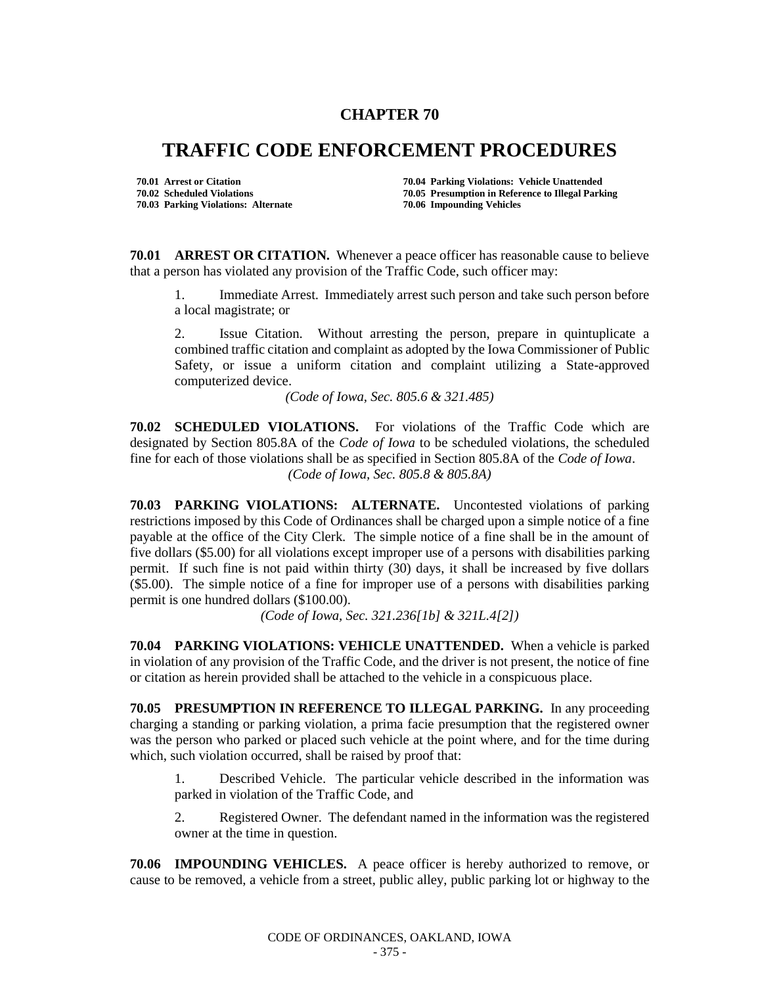## **CHAPTER 70**

## **TRAFFIC CODE ENFORCEMENT PROCEDURES**

**70.03 Parking Violations: Alternate** 

**70.01 Arrest or Citation 70.04 Parking Violations: Vehicle Unattended 70.02 Scheduled Violations 70.05 Presumption in Reference to Illegal Parking**

**70.01 ARREST OR CITATION.** Whenever a peace officer has reasonable cause to believe that a person has violated any provision of the Traffic Code, such officer may:

1. Immediate Arrest. Immediately arrest such person and take such person before a local magistrate; or

2. Issue Citation. Without arresting the person, prepare in quintuplicate a combined traffic citation and complaint as adopted by the Iowa Commissioner of Public Safety, or issue a uniform citation and complaint utilizing a State-approved computerized device.

*(Code of Iowa, Sec. 805.6 & 321.485)*

**70.02 SCHEDULED VIOLATIONS.** For violations of the Traffic Code which are designated by Section 805.8A of the *Code of Iowa* to be scheduled violations, the scheduled fine for each of those violations shall be as specified in Section 805.8A of the *Code of Iowa*. *(Code of Iowa, Sec. 805.8 & 805.8A)*

**70.03 PARKING VIOLATIONS: ALTERNATE.** Uncontested violations of parking restrictions imposed by this Code of Ordinances shall be charged upon a simple notice of a fine payable at the office of the City Clerk. The simple notice of a fine shall be in the amount of five dollars (\$5.00) for all violations except improper use of a persons with disabilities parking permit. If such fine is not paid within thirty (30) days, it shall be increased by five dollars (\$5.00). The simple notice of a fine for improper use of a persons with disabilities parking permit is one hundred dollars (\$100.00).

*(Code of Iowa, Sec. 321.236[1b] & 321L.4[2])*

**70.04 PARKING VIOLATIONS: VEHICLE UNATTENDED.** When a vehicle is parked in violation of any provision of the Traffic Code, and the driver is not present, the notice of fine or citation as herein provided shall be attached to the vehicle in a conspicuous place.

**70.05 PRESUMPTION IN REFERENCE TO ILLEGAL PARKING.** In any proceeding charging a standing or parking violation, a prima facie presumption that the registered owner was the person who parked or placed such vehicle at the point where, and for the time during which, such violation occurred, shall be raised by proof that:

1. Described Vehicle. The particular vehicle described in the information was parked in violation of the Traffic Code, and

2. Registered Owner. The defendant named in the information was the registered owner at the time in question.

**70.06 IMPOUNDING VEHICLES.** A peace officer is hereby authorized to remove, or cause to be removed, a vehicle from a street, public alley, public parking lot or highway to the